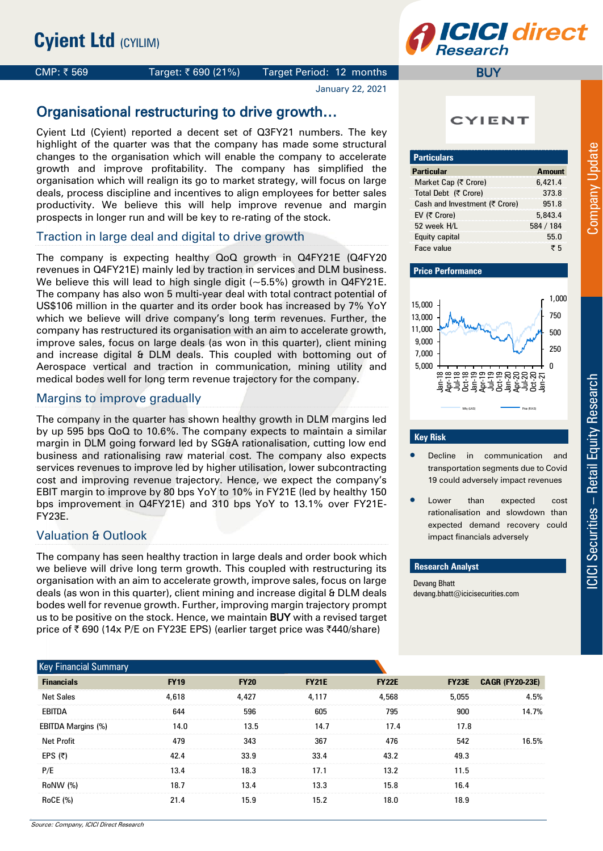# **CICI direct Research**

### CMP:  $\bar{\tau}$  569 Target:  $\bar{\tau}$  690 (21%) Target Period: 12 months

January 22, 2021

# Organisational restructuring to drive growth…

Cyient Ltd (Cyient) reported a decent set of Q3FY21 numbers. The key highlight of the quarter was that the company has made some structural changes to the organisation which will enable the company to accelerate growth and improve profitability. The company has simplified the organisation which will realign its go to market strategy, will focus on large deals, process discipline and incentives to align employees for better sales productivity. We believe this will help improve revenue and margin prospects in longer run and will be key to re-rating of the stock.

### Traction in large deal and digital to drive growth

The company is expecting healthy QoQ growth in Q4FY21E (Q4FY20 revenues in Q4FY21E) mainly led by traction in services and DLM business. We believe this will lead to high single digit (~5.5%) growth in Q4FY21E. The company has also won 5 multi-year deal with total contract potential of US\$106 million in the quarter and its order book has increased by 7% YoY which we believe will drive company's long term revenues. Further, the company has restructured its organisation with an aim to accelerate growth, improve sales, focus on large deals (as won in this quarter), client mining and increase digital & DLM deals. This coupled with bottoming out of Aerospace vertical and traction in communication, mining utility and medical bodes well for long term revenue trajectory for the company.

#### Margins to improve gradually

The company in the quarter has shown healthy growth in DLM margins led by up 595 bps QoQ to 10.6%. The company expects to maintain a similar margin in DLM going forward led by SG&A rationalisation, cutting low end business and rationalising raw material cost. The company also expects services revenues to improve led by higher utilisation, lower subcontracting cost and improving revenue trajectory. Hence, we expect the company's EBIT margin to improve by 80 bps YoY to 10% in FY21E (led by healthy 150 bps improvement in Q4FY21E) and 310 bps YoY to 13.1% over FY21E-FY23E.

### Valuation & Outlook

The company has seen healthy traction in large deals and order book which we believe will drive long term growth. This coupled with restructuring its organisation with an aim to accelerate growth, improve sales, focus on large deals (as won in this quarter), client mining and increase digital & DLM deals bodes well for revenue growth. Further, improving margin trajectory prompt us to be positive on the stock. Hence, we maintain BUY with a revised target price of ₹690 (14x P/E on FY23E EPS) (earlier target price was ₹440/share)

**CYIENT** 

**BUY** 

| <b>Particulars</b>            |               |
|-------------------------------|---------------|
| <b>Particular</b>             | <b>Amount</b> |
| Market Cap (₹ Crore)          | 6,421.4       |
| Total Debt (₹ Crore)          | 373.8         |
| Cash and Investment (₹ Crore) | 951.8         |
| EV $(5$ Crore)                | 5,843.4       |
| 52 week H/L                   | 584 / 184     |
| Equity capital                | 55.0          |
| Face value                    | ₹5            |

#### **Price Performance**



#### **Key Risk**

- Decline in communication and transportation segments due to Covid 19 could adversely impact revenues
- Lower than expected cost rationalisation and slowdown than expected demand recovery could impact financials adversely

#### **Research Analyst**

Devang Bhatt devang.bhatt@icicisecurities.com

| <b>Key Financial Summary</b> |             |             |              |              |              |                        |
|------------------------------|-------------|-------------|--------------|--------------|--------------|------------------------|
| <b>Financials</b>            | <b>FY19</b> | <b>FY20</b> | <b>FY21E</b> | <b>FY22E</b> | <b>FY23E</b> | <b>CAGR (FY20-23E)</b> |
| <b>Net Sales</b>             | 4.618       | 4,427       | 4,117        | 4,568        | 5,055        | 4.5%                   |
| EBITDA                       | 644         | 596         | 605          | 795          | 900          | 14.7%                  |
| EBITDA Margins (%)           | 14.0        | 13.5        | 14.7         | 17.4         | 17.8         |                        |
| <b>Net Profit</b>            | 479         | 343         | 367          | 476          | 542          | 16.5%                  |
| EPS $(5)$                    | 42.4        | 33.9        | 33.4         | 43.2         | 49.3         |                        |
| P/E                          | 13.4        | 18.3        | 17.1         | 13.2         | 11.5         |                        |
| RoNW (%)                     | 18.7        | 13.4        | 13.3         | 15.8         | 16.4         |                        |
| <b>RoCE</b> (%)              | 21.4        | 15.9        | 15.2         | 18.0         | 18.9         |                        |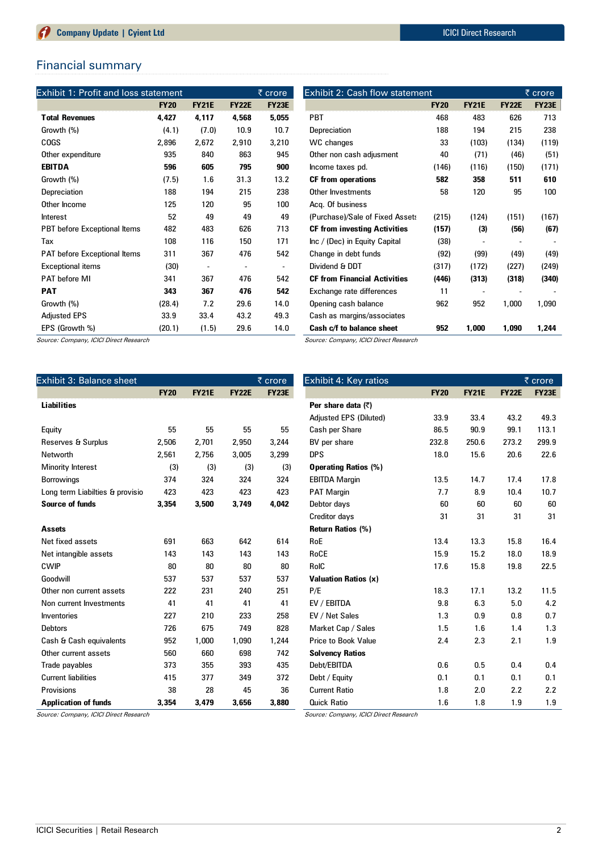## Financial summary

| Exhibit 1: Profit and loss statement |             |                          |              | <u>र</u> crore | <b>Exhibit 2: Cash flow statement</b> |             |              | $\overline{\xi}$ crore |              |
|--------------------------------------|-------------|--------------------------|--------------|----------------|---------------------------------------|-------------|--------------|------------------------|--------------|
|                                      | <b>FY20</b> | <b>FY21E</b>             | <b>FY22E</b> | <b>FY23E</b>   |                                       | <b>FY20</b> | <b>FY21E</b> | <b>FY22E</b>           | <b>FY23E</b> |
| <b>Total Revenues</b>                | 4,427       | 4,117                    | 4,568        | 5,055          | <b>PBT</b>                            | 468         | 483          | 626                    | 713          |
| Growth (%)                           | (4.1)       | (7.0)                    | 10.9         | 10.7           | Depreciation                          | 188         | 194          | 215                    | 238          |
| <b>COGS</b>                          | 2,896       | 2,672                    | 2,910        | 3,210          | WC changes                            | 33          | (103)        | (134)                  | (119)        |
| Other expenditure                    | 935         | 840                      | 863          | 945            | Other non cash adjusment              | 40          | (71)         | (46)                   | (51)         |
| <b>EBITDA</b>                        | 596         | 605                      | 795          | 900            | Income taxes pd.                      | (146)       | (116)        | (150)                  | (171)        |
| Growth (%)                           | (7.5)       | 1.6                      | 31.3         | 13.2           | <b>CF from operations</b>             | 582         | 358          | 511                    | 610          |
| Depreciation                         | 188         | 194                      | 215          | 238            | Other Investments                     | 58          | 120          | 95                     | 100          |
| Other Income                         | 125         | 120                      | 95           | 100            | Acq. Of business                      |             |              |                        |              |
| <b>Interest</b>                      | 52          | 49                       | 49           | 49             | (Purchase)/Sale of Fixed Asset:       | (215)       | (124)        | (151)                  | (167)        |
| PBT before Exceptional Items         | 482         | 483                      | 626          | 713            | <b>CF from investing Activities</b>   | (157)       | (3)          | (56)                   | (67)         |
| Tax                                  | 108         | 116                      | 150          | 171            | Inc / (Dec) in Equity Capital         | (38)        |              |                        |              |
| PAT before Exceptional Items         | 311         | 367                      | 476          | 542            | Change in debt funds                  | (92)        | (99)         | (49)                   | (49)         |
| <b>Exceptional items</b>             | (30)        | $\overline{\phantom{a}}$ |              |                | Dividend & DDT                        | (317)       | (172)        | (227)                  | (249)        |
| <b>PAT before MI</b>                 | 341         | 367                      | 476          | 542            | <b>CF from Financial Activities</b>   | (446)       | (313)        | (318)                  | (340)        |
| <b>PAT</b>                           | 343         | 367                      | 476          | 542            | Exchange rate differences             | 11          |              |                        |              |
| Growth (%)                           | (28.4)      | 7.2                      | 29.6         | 14.0           | Opening cash balance                  | 962         | 952          | 1,000                  | 1,090        |
| <b>Adjusted EPS</b>                  | 33.9        | 33.4                     | 43.2         | 49.3           | Cash as margins/associates            |             |              |                        |              |
| EPS (Growth %)                       | (20.1)      | (1.5)                    | 29.6         | 14.0           | Cash c/f to balance sheet             | 952         | 1,000        | 1,090                  | 1,244        |

Source: Company, ICICI Direct Research

Source: Company, ICICI Direct Research

| Exhibit 3: Balance sheet<br>$\overline{\xi}$ crore |             |              |              | Exhibit 4: Key ratios | $\overline{\xi}$ crore      |             |              |              |              |
|----------------------------------------------------|-------------|--------------|--------------|-----------------------|-----------------------------|-------------|--------------|--------------|--------------|
|                                                    | <b>FY20</b> | <b>FY21E</b> | <b>FY22E</b> | <b>FY23E</b>          |                             | <b>FY20</b> | <b>FY21E</b> | <b>FY22E</b> | <b>FY23E</b> |
| <b>Liabilities</b>                                 |             |              |              |                       | Per share data (₹)          |             |              |              |              |
|                                                    |             |              |              |                       | Adjusted EPS (Diluted)      | 33.9        | 33.4         | 43.2         | 49.3         |
| Equity                                             | 55          | 55           | 55           | 55                    | Cash per Share              | 86.5        | 90.9         | 99.1         | 113.1        |
| Reserves & Surplus                                 | 2,506       | 2,701        | 2,950        | 3,244                 | BV per share                | 232.8       | 250.6        | 273.2        | 299.9        |
| Networth                                           | 2,561       | 2,756        | 3,005        | 3,299                 | <b>DPS</b>                  | 18.0        | 15.6         | 20.6         | 22.6         |
| Minority Interest                                  | (3)         | (3)          | (3)          | (3)                   | <b>Operating Ratios (%)</b> |             |              |              |              |
| <b>Borrowings</b>                                  | 374         | 324          | 324          | 324                   | <b>EBITDA Margin</b>        | 13.5        | 14.7         | 17.4         | 17.8         |
| Long term Liabilties & provisio                    | 423         | 423          | 423          | 423                   | <b>PAT Margin</b>           | 7.7         | 8.9          | 10.4         | 10.7         |
| Source of funds                                    | 3,354       | 3,500        | 3,749        | 4.042                 | Debtor days                 | 60          | 60           | 60           | 60           |
|                                                    |             |              |              |                       | Creditor days               | 31          | 31           | 31           | 31           |
| <b>Assets</b>                                      |             |              |              |                       | <b>Return Ratios (%)</b>    |             |              |              |              |
| Net fixed assets                                   | 691         | 663          | 642          | 614                   | <b>RoE</b>                  | 13.4        | 13.3         | 15.8         | 16.4         |
| Net intangible assets                              | 143         | 143          | 143          | 143                   | RoCE                        | 15.9        | 15.2         | 18.0         | 18.9         |
| <b>CWIP</b>                                        | 80          | 80           | 80           | 80                    | RoIC                        | 17.6        | 15.8         | 19.8         | 22.5         |
| Goodwill                                           | 537         | 537          | 537          | 537                   | <b>Valuation Ratios (x)</b> |             |              |              |              |
| Other non current assets                           | 222         | 231          | 240          | 251                   | P/E                         | 18.3        | 17.1         | 13.2         | 11.5         |
| Non current Investments                            | 41          | 41           | 41           | 41                    | EV / EBITDA                 | 9.8         | 6.3          | 5.0          | 4.2          |
| Inventories                                        | 227         | 210          | 233          | 258                   | EV / Net Sales              | 1.3         | 0.9          | 0.8          | 0.7          |
| <b>Debtors</b>                                     | 726         | 675          | 749          | 828                   | Market Cap / Sales          | 1.5         | 1.6          | 1.4          | 1.3          |
| Cash & Cash equivalents                            | 952         | 1,000        | 1,090        | 1,244                 | <b>Price to Book Value</b>  | 2.4         | 2.3          | 2.1          | 1.9          |
| Other current assets                               | 560         | 660          | 698          | 742                   | <b>Solvency Ratios</b>      |             |              |              |              |
| Trade payables                                     | 373         | 355          | 393          | 435                   | Debt/EBITDA                 | 0.6         | 0.5          | 0.4          | 0.4          |
| <b>Current liabilities</b>                         | 415         | 377          | 349          | 372                   | Debt / Equity               | 0.1         | 0.1          | 0.1          | 0.1          |
| Provisions                                         | 38          | 28           | 45           | 36                    | <b>Current Ratio</b>        | 1.8         | 2.0          | 2.2          | 2.2          |
| <b>Application of funds</b>                        | 3.354       | 3.479        | 3.656        | 3.880                 | <b>Quick Ratio</b>          | 1.6         | 1.8          | 1.9          | 1.9          |

Source: Company, ICICI Direct Research

Source: Company, ICICI Direct Research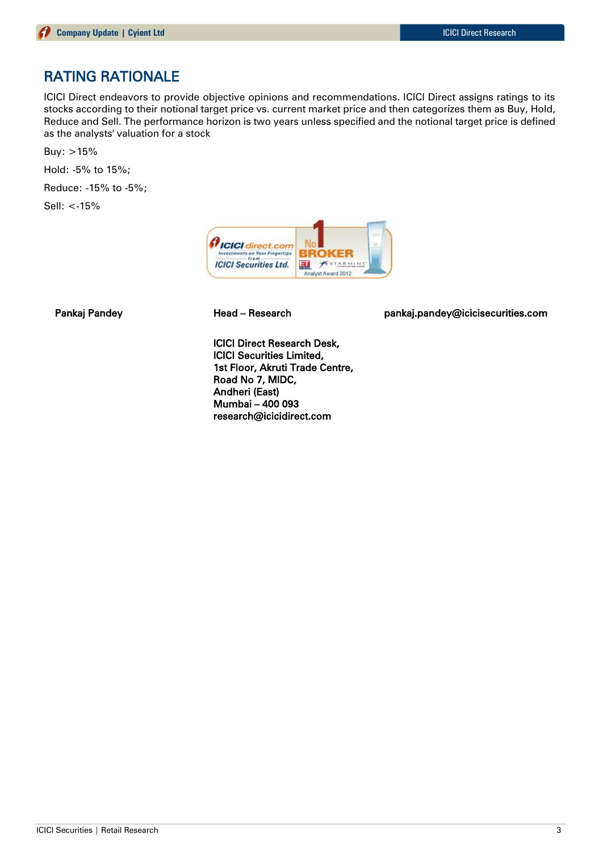# RATING RATIONALE

ICICI Direct endeavors to provide objective opinions and recommendations. ICICI Direct assigns ratings to its stocks according to their notional target price vs. current market price and then categorizes them as Buy, Hold, Reduce and Sell. The performance horizon is two years unless specified and the notional target price is defined as the analysts' valuation for a stock

Buy: >15%

Hold: -5% to 15%;

Reduce: -15% to -5%;

Sell: <-15%



Pankaj Pandey **Head – Research head pankaj.pandey@icicisecurities.com** 

ICICI Direct Research Desk, ICICI Securities Limited, 1st Floor, Akruti Trade Centre, Road No 7, MIDC, Andheri (East) Mumbai – 400 093 research@icicidirect.com